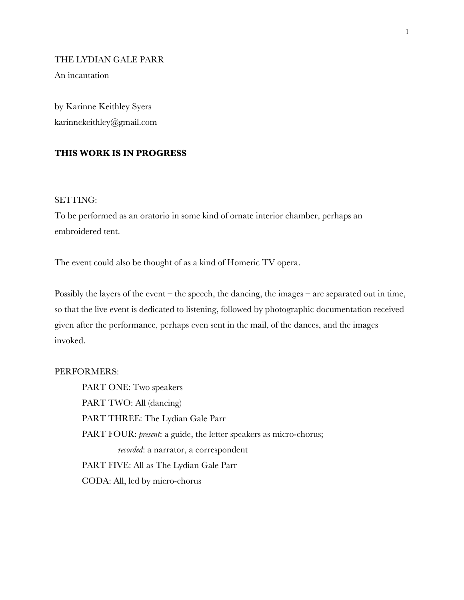# THE LYDIAN GALE PARR

An incantation

by Karinne Keithley Syers karinnekeithley@gmail.com

# **THIS WORK IS IN PROGRESS**

# SETTING:

To be performed as an oratorio in some kind of ornate interior chamber, perhaps an embroidered tent.

The event could also be thought of as a kind of Homeric TV opera.

Possibly the layers of the event – the speech, the dancing, the images – are separated out in time, so that the live event is dedicated to listening, followed by photographic documentation received given after the performance, perhaps even sent in the mail, of the dances, and the images invoked.

# PERFORMERS:

PART ONE: Two speakers PART TWO: All (dancing) PART THREE: The Lydian Gale Parr PART FOUR: *present*: a guide, the letter speakers as micro-chorus; *recorded*: a narrator, a correspondent PART FIVE: All as The Lydian Gale Parr CODA: All, led by micro-chorus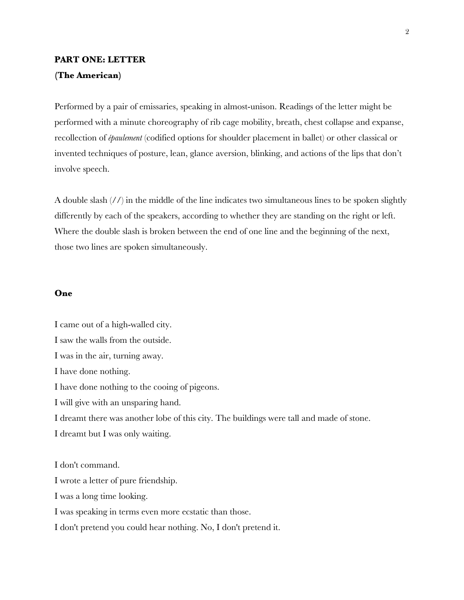# **PART ONE: LETTER (The American)**

Performed by a pair of emissaries, speaking in almost-unison. Readings of the letter might be performed with a minute choreography of rib cage mobility, breath, chest collapse and expanse, recollection of *épaulement* (codified options for shoulder placement in ballet) or other classical or invented techniques of posture, lean, glance aversion, blinking, and actions of the lips that don't involve speech.

A double slash (//) in the middle of the line indicates two simultaneous lines to be spoken slightly differently by each of the speakers, according to whether they are standing on the right or left. Where the double slash is broken between the end of one line and the beginning of the next, those two lines are spoken simultaneously.

# **One**

I came out of a high-walled city. I saw the walls from the outside. I was in the air, turning away. I have done nothing. I have done nothing to the cooing of pigeons. I will give with an unsparing hand. I dreamt there was another lobe of this city. The buildings were tall and made of stone. I dreamt but I was only waiting. I don't command. I wrote a letter of pure friendship. I was a long time looking. I was speaking in terms even more ecstatic than those.

I don't pretend you could hear nothing. No, I don't pretend it.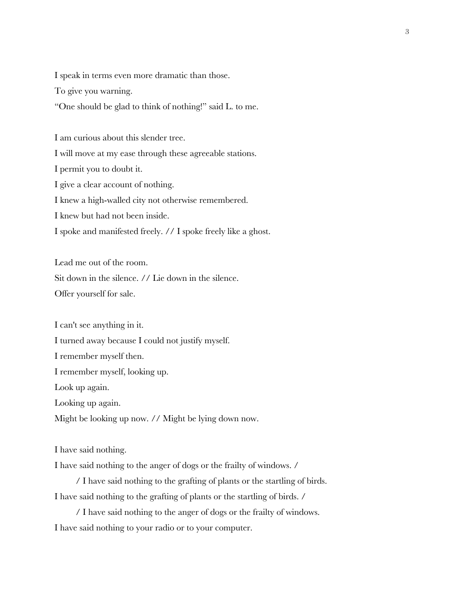I speak in terms even more dramatic than those.

To give you warning.

"One should be glad to think of nothing!" said L. to me.

I am curious about this slender tree.

I will move at my ease through these agreeable stations.

I permit you to doubt it.

I give a clear account of nothing.

I knew a high-walled city not otherwise remembered.

I knew but had not been inside.

I spoke and manifested freely. // I spoke freely like a ghost.

Lead me out of the room.

Sit down in the silence. // Lie down in the silence.

Offer yourself for sale.

I can't see anything in it.

I turned away because I could not justify myself.

I remember myself then.

I remember myself, looking up.

Look up again.

Looking up again.

Might be looking up now. // Might be lying down now.

I have said nothing.

I have said nothing to the anger of dogs or the frailty of windows. /

/ I have said nothing to the grafting of plants or the startling of birds. I have said nothing to the grafting of plants or the startling of birds. /

/ I have said nothing to the anger of dogs or the frailty of windows. I have said nothing to your radio or to your computer.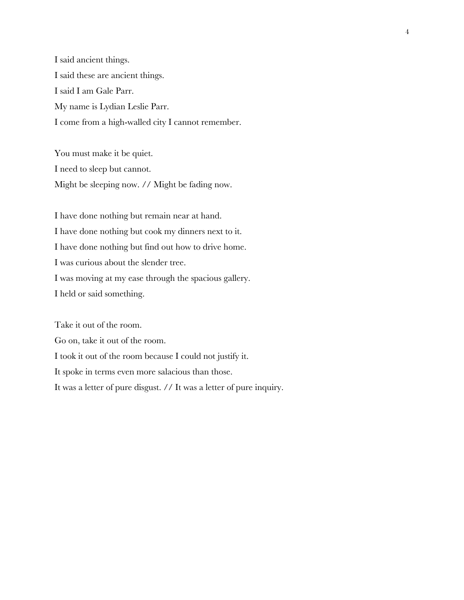I said ancient things. I said these are ancient things. I said I am Gale Parr. My name is Lydian Leslie Parr. I come from a high-walled city I cannot remember.

You must make it be quiet. I need to sleep but cannot. Might be sleeping now. // Might be fading now.

I have done nothing but remain near at hand. I have done nothing but cook my dinners next to it. I have done nothing but find out how to drive home. I was curious about the slender tree. I was moving at my ease through the spacious gallery. I held or said something.

Take it out of the room. Go on, take it out of the room. I took it out of the room because I could not justify it. It spoke in terms even more salacious than those. It was a letter of pure disgust. // It was a letter of pure inquiry.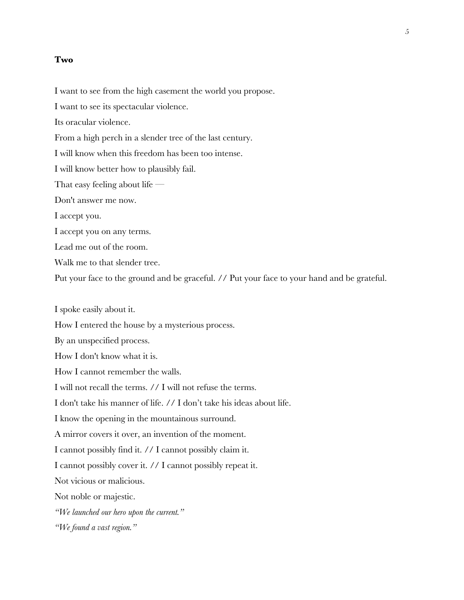## **Two**

I want to see from the high casement the world you propose.

I want to see its spectacular violence.

Its oracular violence.

From a high perch in a slender tree of the last century.

I will know when this freedom has been too intense.

I will know better how to plausibly fail.

That easy feeling about life —

Don't answer me now.

I accept you.

I accept you on any terms.

Lead me out of the room.

Walk me to that slender tree.

Put your face to the ground and be graceful. // Put your face to your hand and be grateful.

I spoke easily about it.

How I entered the house by a mysterious process.

By an unspecified process.

How I don't know what it is.

How I cannot remember the walls.

I will not recall the terms. // I will not refuse the terms.

I don't take his manner of life. // I don't take his ideas about life.

I know the opening in the mountainous surround.

A mirror covers it over, an invention of the moment.

I cannot possibly find it. // I cannot possibly claim it.

I cannot possibly cover it. // I cannot possibly repeat it.

Not vicious or malicious.

Not noble or majestic.

*"We launched our hero upon the current."* 

*"We found a vast region."*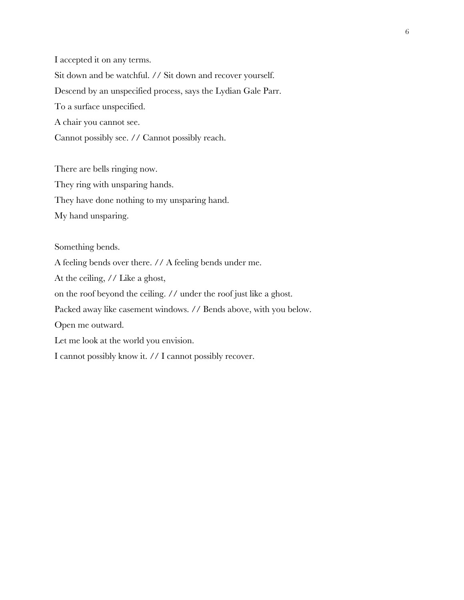I accepted it on any terms. Sit down and be watchful. // Sit down and recover yourself. Descend by an unspecified process, says the Lydian Gale Parr. To a surface unspecified. A chair you cannot see. Cannot possibly see. // Cannot possibly reach.

There are bells ringing now. They ring with unsparing hands. They have done nothing to my unsparing hand. My hand unsparing.

Something bends. A feeling bends over there. // A feeling bends under me. At the ceiling, // Like a ghost, on the roof beyond the ceiling. // under the roof just like a ghost. Packed away like casement windows. // Bends above, with you below. Open me outward. Let me look at the world you envision. I cannot possibly know it. // I cannot possibly recover.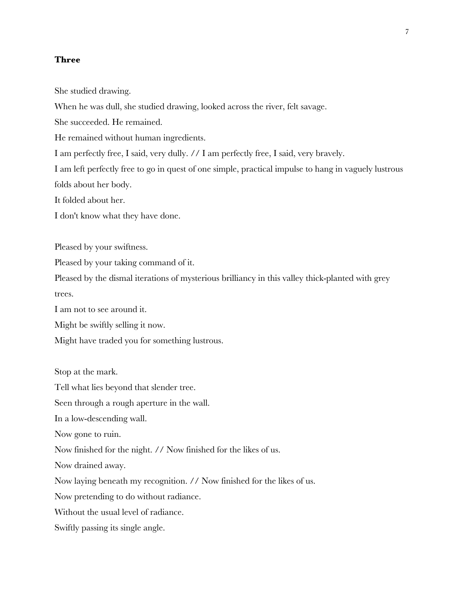# **Three**

She studied drawing.

When he was dull, she studied drawing, looked across the river, felt savage.

She succeeded. He remained.

He remained without human ingredients.

I am perfectly free, I said, very dully. // I am perfectly free, I said, very bravely.

I am left perfectly free to go in quest of one simple, practical impulse to hang in vaguely lustrous folds about her body.

It folded about her.

I don't know what they have done.

Pleased by your swiftness.

Pleased by your taking command of it.

Pleased by the dismal iterations of mysterious brilliancy in this valley thick-planted with grey trees.

I am not to see around it.

Might be swiftly selling it now.

Might have traded you for something lustrous.

Stop at the mark.

Tell what lies beyond that slender tree.

Seen through a rough aperture in the wall.

In a low-descending wall.

Now gone to ruin.

Now finished for the night. // Now finished for the likes of us.

Now drained away.

Now laying beneath my recognition. // Now finished for the likes of us.

Now pretending to do without radiance.

Without the usual level of radiance.

Swiftly passing its single angle.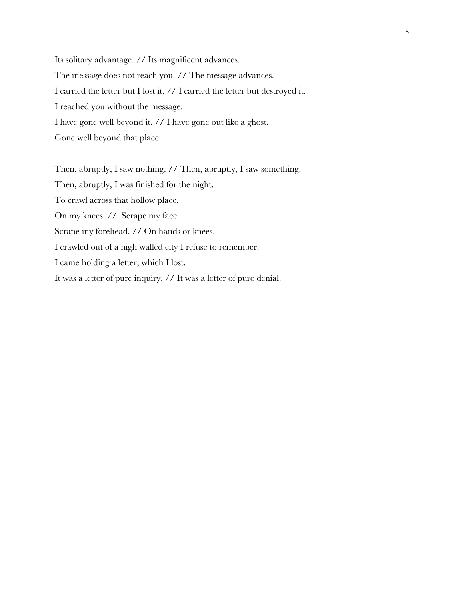Its solitary advantage. // Its magnificent advances. The message does not reach you. // The message advances. I carried the letter but I lost it. // I carried the letter but destroyed it. I reached you without the message. I have gone well beyond it. // I have gone out like a ghost. Gone well beyond that place.

Then, abruptly, I saw nothing. // Then, abruptly, I saw something. Then, abruptly, I was finished for the night. To crawl across that hollow place. On my knees. // Scrape my face. Scrape my forehead. // On hands or knees. I crawled out of a high walled city I refuse to remember. I came holding a letter, which I lost. It was a letter of pure inquiry. // It was a letter of pure denial.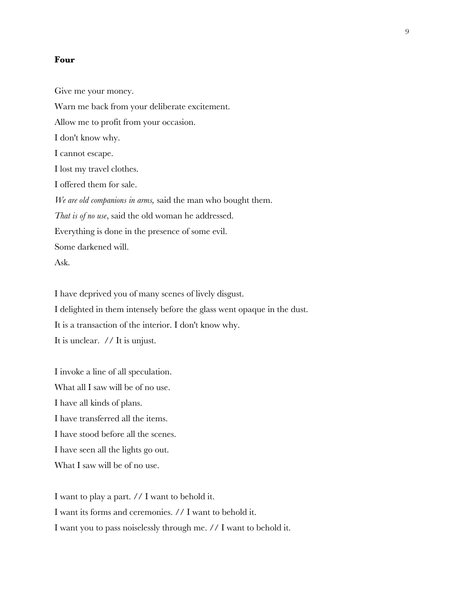#### **Four**

Give me your money. Warn me back from your deliberate excitement. Allow me to profit from your occasion. I don't know why. I cannot escape. I lost my travel clothes. I offered them for sale. *We are old companions in arms,* said the man who bought them. *That is of no use*, said the old woman he addressed. Everything is done in the presence of some evil. Some darkened will. Ask.

I have deprived you of many scenes of lively disgust. I delighted in them intensely before the glass went opaque in the dust. It is a transaction of the interior. I don't know why. It is unclear. // It is unjust.

I invoke a line of all speculation. What all I saw will be of no use. I have all kinds of plans. I have transferred all the items. I have stood before all the scenes. I have seen all the lights go out. What I saw will be of no use.

I want to play a part. // I want to behold it. I want its forms and ceremonies. // I want to behold it. I want you to pass noiselessly through me. // I want to behold it.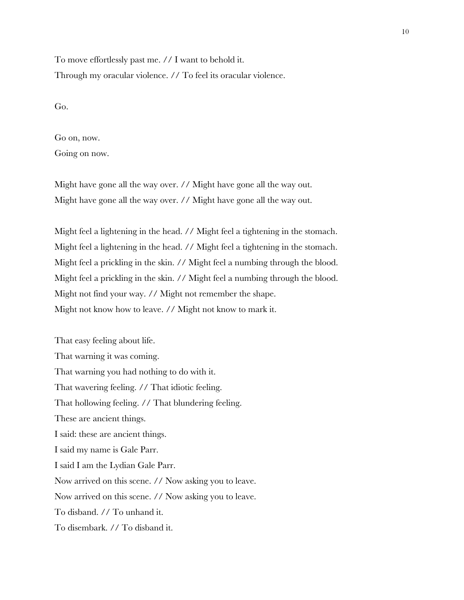To move effortlessly past me. // I want to behold it. Through my oracular violence. // To feel its oracular violence.

Go.

Go on, now.

Going on now.

Might have gone all the way over. // Might have gone all the way out. Might have gone all the way over. // Might have gone all the way out.

Might feel a lightening in the head. // Might feel a tightening in the stomach. Might feel a lightening in the head. // Might feel a tightening in the stomach. Might feel a prickling in the skin. // Might feel a numbing through the blood. Might feel a prickling in the skin. // Might feel a numbing through the blood. Might not find your way. // Might not remember the shape. Might not know how to leave. // Might not know to mark it.

That easy feeling about life. That warning it was coming. That warning you had nothing to do with it. That wavering feeling. // That idiotic feeling. That hollowing feeling. // That blundering feeling. These are ancient things. I said: these are ancient things. I said my name is Gale Parr. I said I am the Lydian Gale Parr. Now arrived on this scene. // Now asking you to leave. Now arrived on this scene. // Now asking you to leave. To disband. // To unhand it. To disembark. // To disband it.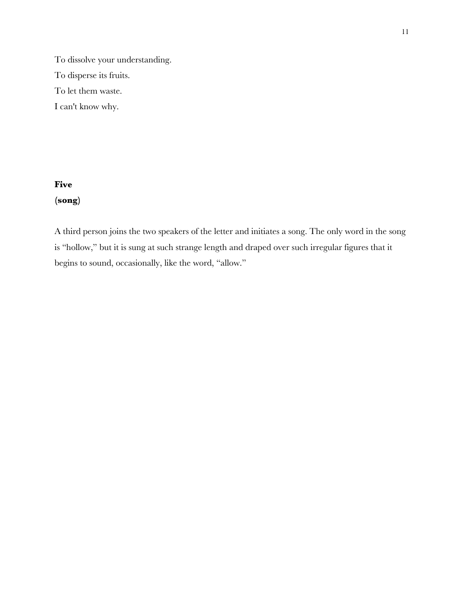To dissolve your understanding. To disperse its fruits. To let them waste. I can't know why.

# **Five (song)**

A third person joins the two speakers of the letter and initiates a song. The only word in the song is "hollow," but it is sung at such strange length and draped over such irregular figures that it begins to sound, occasionally, like the word, "allow."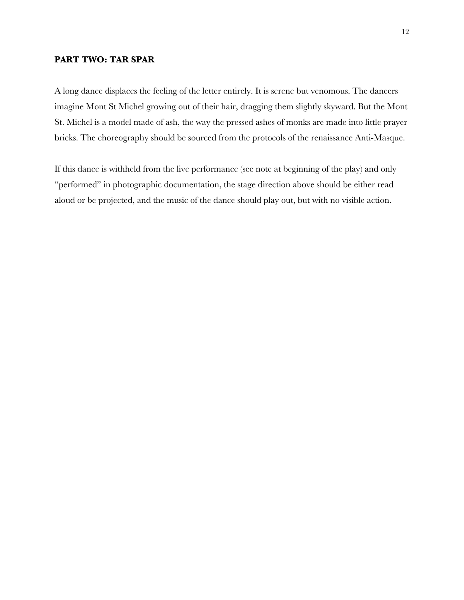# **PART TWO: TAR SPAR**

A long dance displaces the feeling of the letter entirely. It is serene but venomous. The dancers imagine Mont St Michel growing out of their hair, dragging them slightly skyward. But the Mont St. Michel is a model made of ash, the way the pressed ashes of monks are made into little prayer bricks. The choreography should be sourced from the protocols of the renaissance Anti-Masque.

If this dance is withheld from the live performance (see note at beginning of the play) and only "performed" in photographic documentation, the stage direction above should be either read aloud or be projected, and the music of the dance should play out, but with no visible action.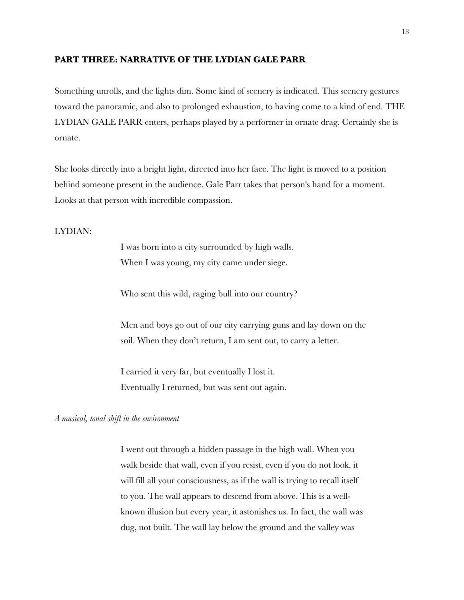# **PART THREE: NARRATIVE OF THE LYDIAN GALE PARR**

Something unrolls, and the lights dim. Some kind of scenery is indicated. This scenery gestures toward the panoramic, and also to prolonged exhaustion, to having come to a kind of end. THE LYDIAN GALE PARR enters, perhaps played by a performer in ornate drag. Certainly she is ornate.

She looks directly into a bright light, directed into her face. The light is moved to a position behind someone present in the audience. Gale Parr takes that person's hand for a moment. Looks at that person with incredible compassion.

# LYDIAN:

I was born into a city surrounded by high walls. When I was young, my city came under siege.

Who sent this wild, raging bull into our country?

Men and boys go out of our city carrying guns and lay down on the soil. When they don't return, I am sent out, to carry a letter.

I carried it very far, but eventually I lost it. Eventually I returned, but was sent out again.

#### *A musical, tonal shift in the environment*

I went out through a hidden passage in the high wall. When you walk beside that wall, even if you resist, even if you do not look, it will fill all your consciousness, as if the wall is trying to recall itself to you. The wall appears to descend from above. This is a wellknown illusion but every year, it astonishes us. In fact, the wall was dug, not built. The wall lay below the ground and the valley was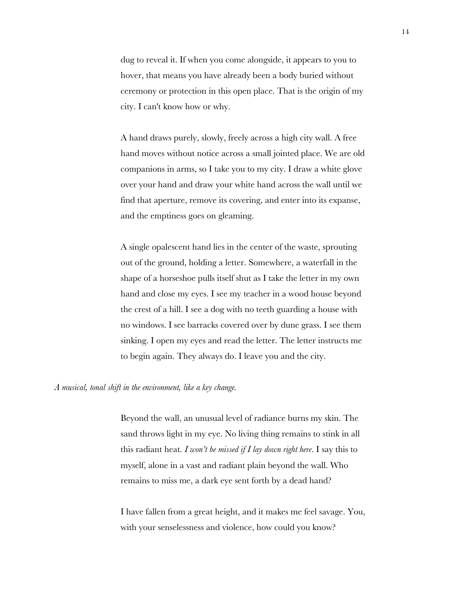dug to reveal it. If when you come alongside, it appears to you to hover, that means you have already been a body buried without ceremony or protection in this open place. That is the origin of my city. I can't know how or why.

A hand draws purely, slowly, freely across a high city wall. A free hand moves without notice across a small jointed place. We are old companions in arms, so I take you to my city. I draw a white glove over your hand and draw your white hand across the wall until we find that aperture, remove its covering, and enter into its expanse, and the emptiness goes on gleaming.

A single opalescent hand lies in the center of the waste, sprouting out of the ground, holding a letter. Somewhere, a waterfall in the shape of a horseshoe pulls itself shut as I take the letter in my own hand and close my eyes. I see my teacher in a wood house beyond the crest of a hill. I see a dog with no teeth guarding a house with no windows. I see barracks covered over by dune grass. I see them sinking. I open my eyes and read the letter. The letter instructs me to begin again. They always do. I leave you and the city.

#### *A musical, tonal shift in the environment, like a key change.*

Beyond the wall, an unusual level of radiance burns my skin. The sand throws light in my eye. No living thing remains to stink in all this radiant heat. *I won't be missed if I lay down right here*. I say this to myself, alone in a vast and radiant plain beyond the wall. Who remains to miss me, a dark eye sent forth by a dead hand?

I have fallen from a great height, and it makes me feel savage. You, with your senselessness and violence, how could you know?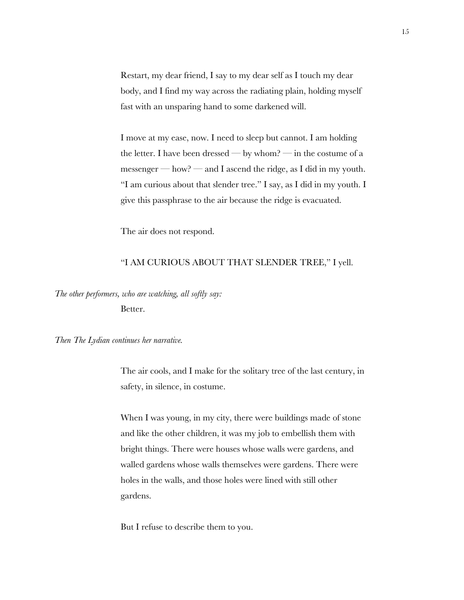Restart, my dear friend, I say to my dear self as I touch my dear body, and I find my way across the radiating plain, holding myself fast with an unsparing hand to some darkened will.

I move at my ease, now. I need to sleep but cannot. I am holding the letter. I have been dressed — by whom? — in the costume of a messenger — how? — and I ascend the ridge, as I did in my youth. "I am curious about that slender tree." I say, as I did in my youth. I give this passphrase to the air because the ridge is evacuated.

The air does not respond.

## "I AM CURIOUS ABOUT THAT SLENDER TREE," I yell.

*The other performers, who are watching, all softly say:*  Better.

*Then The Lydian continues her narrative.*

The air cools, and I make for the solitary tree of the last century, in safety, in silence, in costume.

When I was young, in my city, there were buildings made of stone and like the other children, it was my job to embellish them with bright things. There were houses whose walls were gardens, and walled gardens whose walls themselves were gardens. There were holes in the walls, and those holes were lined with still other gardens.

But I refuse to describe them to you.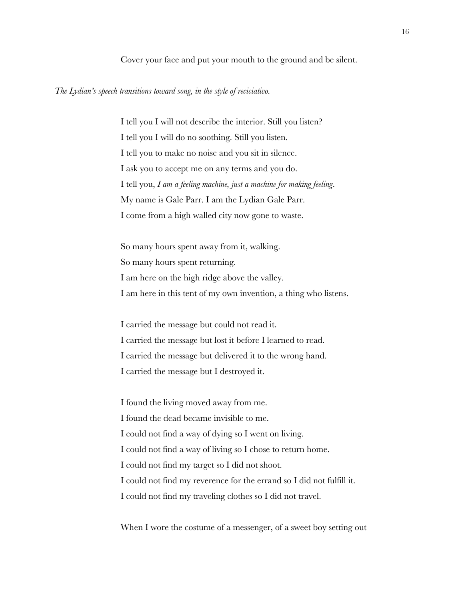Cover your face and put your mouth to the ground and be silent.

#### *The Lydian's speech transitions toward song, in the style of reciciativo.*

I tell you I will not describe the interior. Still you listen? I tell you I will do no soothing. Still you listen. I tell you to make no noise and you sit in silence. I ask you to accept me on any terms and you do. I tell you, *I am a feeling machine, just a machine for making feeling*. My name is Gale Parr. I am the Lydian Gale Parr. I come from a high walled city now gone to waste.

So many hours spent away from it, walking. So many hours spent returning. I am here on the high ridge above the valley. I am here in this tent of my own invention, a thing who listens.

I carried the message but could not read it. I carried the message but lost it before I learned to read. I carried the message but delivered it to the wrong hand. I carried the message but I destroyed it.

I found the living moved away from me. I found the dead became invisible to me. I could not find a way of dying so I went on living. I could not find a way of living so I chose to return home. I could not find my target so I did not shoot. I could not find my reverence for the errand so I did not fulfill it. I could not find my traveling clothes so I did not travel.

When I wore the costume of a messenger, of a sweet boy setting out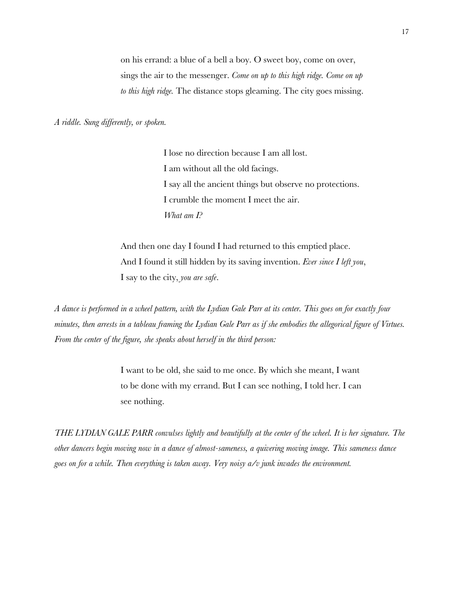on his errand: a blue of a bell a boy. O sweet boy, come on over, sings the air to the messenger. *Come on up to this high ridge. Come on up to this high ridge.* The distance stops gleaming. The city goes missing.

*A riddle. Sung differently, or spoken.*

I lose no direction because I am all lost. I am without all the old facings. I say all the ancient things but observe no protections. I crumble the moment I meet the air. *What am I?* 

And then one day I found I had returned to this emptied place. And I found it still hidden by its saving invention. *Ever since I left you*, I say to the city, *you are safe*.

*A dance is performed in a wheel pattern, with the Lydian Gale Parr at its center. This goes on for exactly four minutes, then arrests in a tableau framing the Lydian Gale Parr as if she embodies the allegorical figure of Virtues. From the center of the figure, she speaks about herself in the third person:*

> I want to be old, she said to me once. By which she meant, I want to be done with my errand. But I can see nothing, I told her. I can see nothing.

*THE LYDIAN GALE PARR convulses lightly and beautifully at the center of the wheel. It is her signature. The other dancers begin moving now in a dance of almost-sameness, a quivering moving image. This sameness dance goes on for a while. Then everything is taken away. Very noisy a/v junk invades the environment.*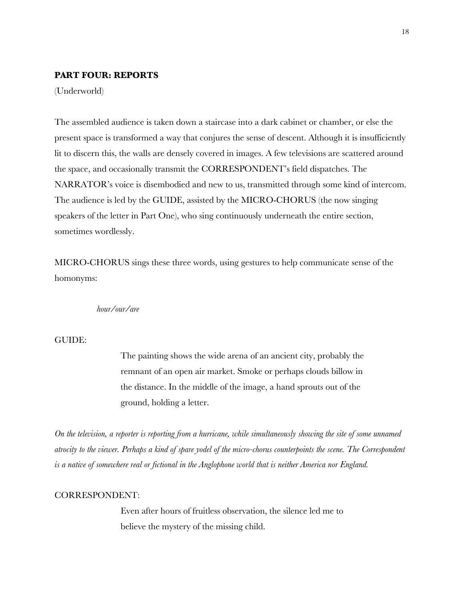# **PART FOUR: REPORTS**

(Underworld)

The assembled audience is taken down a staircase into a dark cabinet or chamber, or else the present space is transformed a way that conjures the sense of descent. Although it is insufficiently lit to discern this, the walls are densely covered in images. A few televisions are scattered around the space, and occasionally transmit the CORRESPONDENT's field dispatches. The NARRATOR's voice is disembodied and new to us, transmitted through some kind of intercom. The audience is led by the GUIDE, assisted by the MICRO-CHORUS (the now singing speakers of the letter in Part One), who sing continuously underneath the entire section, sometimes wordlessly.

MICRO-CHORUS sings these three words, using gestures to help communicate sense of the homonyms:

*hour/our/are*

# GUIDE:

The painting shows the wide arena of an ancient city, probably the remnant of an open air market. Smoke or perhaps clouds billow in the distance. In the middle of the image, a hand sprouts out of the ground, holding a letter.

*On the television, a reporter is reporting from a hurricane, while simultaneously showing the site of some unnamed atrocity to the viewer. Perhaps a kind of spare yodel of the micro-chorus counterpoints the scene. The Correspondent is a native of somewhere real or fictional in the Anglophone world that is neither America nor England.* 

#### CORRESPONDENT:

Even after hours of fruitless observation, the silence led me to believe the mystery of the missing child.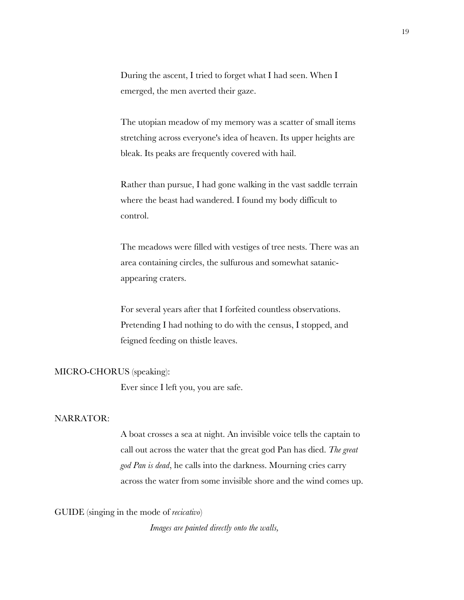During the ascent, I tried to forget what I had seen. When I emerged, the men averted their gaze.

The utopian meadow of my memory was a scatter of small items stretching across everyone's idea of heaven. Its upper heights are bleak. Its peaks are frequently covered with hail.

Rather than pursue, I had gone walking in the vast saddle terrain where the beast had wandered. I found my body difficult to control.

The meadows were filled with vestiges of tree nests. There was an area containing circles, the sulfurous and somewhat satanicappearing craters.

For several years after that I forfeited countless observations. Pretending I had nothing to do with the census, I stopped, and feigned feeding on thistle leaves.

#### MICRO-CHORUS (speaking):

Ever since I left you, you are safe.

#### NARRATOR:

A boat crosses a sea at night. An invisible voice tells the captain to call out across the water that the great god Pan has died. *The great god Pan is dead*, he calls into the darkness. Mourning cries carry across the water from some invisible shore and the wind comes up.

GUIDE (singing in the mode of *recicativo*)

*Images are painted directly onto the walls,*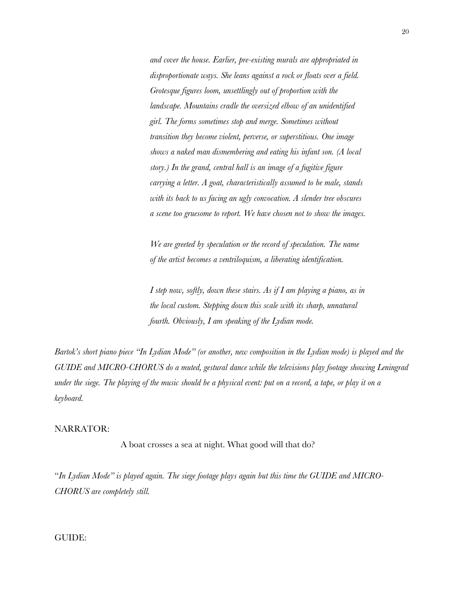*and cover the house. Earlier, pre-existing murals are appropriated in disproportionate ways. She leans against a rock or floats over a field. Grotesque figures loom, unsettlingly out of proportion with the landscape. Mountains cradle the oversized elbow of an unidentified girl. The forms sometimes stop and merge. Sometimes without transition they become violent, perverse, or superstitious. One image shows a naked man dismembering and eating his infant son. (A local story.) In the grand, central hall is an image of a fugitive figure carrying a letter. A goat, characteristically assumed to be male, stands with its back to us facing an ugly convocation. A slender tree obscures a scene too gruesome to report. We have chosen not to show the images.*

*We are greeted by speculation or the record of speculation. The name of the artist becomes a ventriloquism, a liberating identification.*

*I step now, softly, down these stairs. As if I am playing a piano, as in the local custom. Stepping down this scale with its sharp, unnatural fourth. Obviously, I am speaking of the Lydian mode.* 

*Bartok's short piano piece "In Lydian Mode" (or another, new composition in the Lydian mode) is played and the GUIDE and MICRO-CHORUS do a muted, gestural dance while the televisions play footage showing Leningrad under the siege. The playing of the music should be a physical event: put on a record, a tape, or play it on a keyboard.*

## NARRATOR:

A boat crosses a sea at night. What good will that do?

"*In Lydian Mode" is played again. The siege footage plays again but this time the GUIDE and MICRO-CHORUS are completely still.* 

## GUIDE: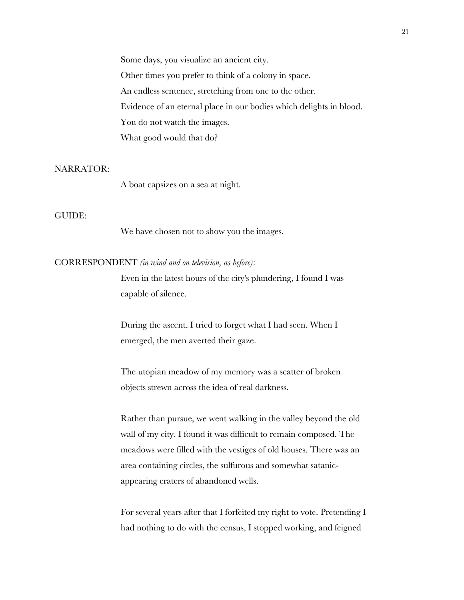Some days, you visualize an ancient city. Other times you prefer to think of a colony in space. An endless sentence, stretching from one to the other. Evidence of an eternal place in our bodies which delights in blood. You do not watch the images. What good would that do?

## NARRATOR:

A boat capsizes on a sea at night.

#### GUIDE:

We have chosen not to show you the images.

## CORRESPONDENT *(in wind and on television, as before)*:

Even in the latest hours of the city's plundering, I found I was capable of silence.

During the ascent, I tried to forget what I had seen. When I emerged, the men averted their gaze.

The utopian meadow of my memory was a scatter of broken objects strewn across the idea of real darkness.

Rather than pursue, we went walking in the valley beyond the old wall of my city. I found it was difficult to remain composed. The meadows were filled with the vestiges of old houses. There was an area containing circles, the sulfurous and somewhat satanicappearing craters of abandoned wells.

For several years after that I forfeited my right to vote. Pretending I had nothing to do with the census, I stopped working, and feigned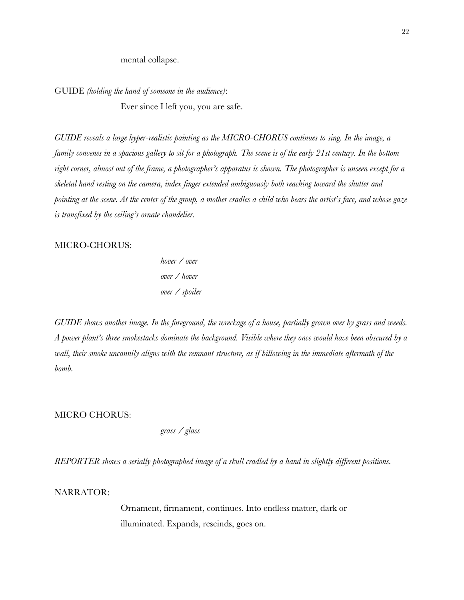mental collapse.

GUIDE *(holding the hand of someone in the audience)*:

Ever since I left you, you are safe.

*GUIDE reveals a large hyper-realistic painting as the MICRO-CHORUS continues to sing. In the image, a family convenes in a spacious gallery to sit for a photograph. The scene is of the early 21st century. In the bottom right corner, almost out of the frame, a photographer's apparatus is shown. The photographer is unseen except for a skeletal hand resting on the camera, index finger extended ambiguously both reaching toward the shutter and pointing at the scene. At the center of the group, a mother cradles a child who bears the artist's face, and whose gaze is transfixed by the ceiling's ornate chandelier.*

## MICRO-CHORUS:

*hover / over over / hover over / spoiler*

*GUIDE shows another image. In the foreground, the wreckage of a house, partially grown over by grass and weeds. A power plant's three smokestacks dominate the background. Visible where they once would have been obscured by a wall, their smoke uncannily aligns with the remnant structure, as if billowing in the immediate aftermath of the bomb.* 

MICRO CHORUS:

*grass / glass*

*REPORTER shows a serially photographed image of a skull cradled by a hand in slightly different positions.*

NARRATOR:

Ornament, firmament, continues. Into endless matter, dark or illuminated. Expands, rescinds, goes on.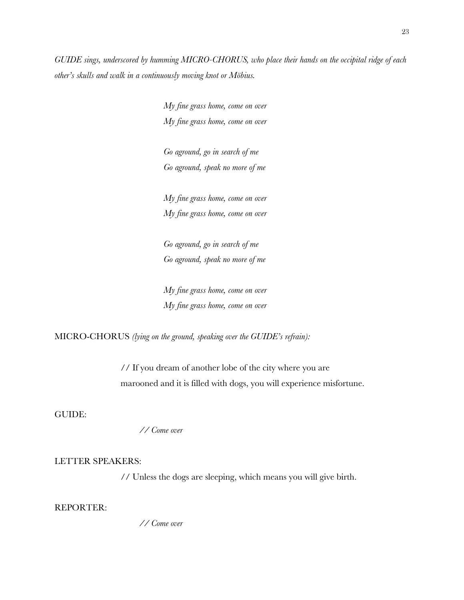*GUIDE sings, underscored by humming MICRO-CHORUS, who place their hands on the occipital ridge of each other's skulls and walk in a continuously moving knot or Möbius.* 

> *My fine grass home, come on over My fine grass home, come on over*

*Go aground, go in search of me Go aground, speak no more of me*

*My fine grass home, come on over My fine grass home, come on over*

*Go aground, go in search of me Go aground, speak no more of me*

*My fine grass home, come on over My fine grass home, come on over*

MICRO-CHORUS *(lying on the ground, speaking over the GUIDE's refrain):*

// If you dream of another lobe of the city where you are marooned and it is filled with dogs, you will experience misfortune.

GUIDE:

*// Come over*

## LETTER SPEAKERS:

// Unless the dogs are sleeping, which means you will give birth.

REPORTER:

*// Come over*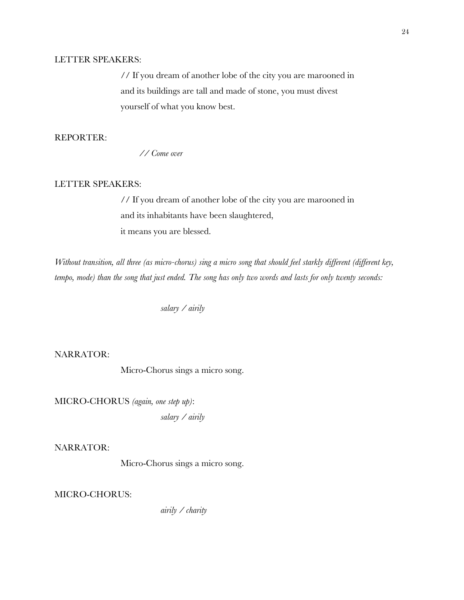# LETTER SPEAKERS:

// If you dream of another lobe of the city you are marooned in and its buildings are tall and made of stone, you must divest yourself of what you know best.

# REPORTER:

*// Come over*

# LETTER SPEAKERS:

// If you dream of another lobe of the city you are marooned in and its inhabitants have been slaughtered, it means you are blessed.

*Without transition, all three (as micro-chorus) sing a micro song that should feel starkly different (different key, tempo, mode) than the song that just ended. The song has only two words and lasts for only twenty seconds:* 

*salary / airily*

NARRATOR:

Micro-Chorus sings a micro song.

MICRO-CHORUS *(again, one step up)*: *salary / airily*

NARRATOR:

Micro-Chorus sings a micro song.

MICRO-CHORUS:

*airily / charity*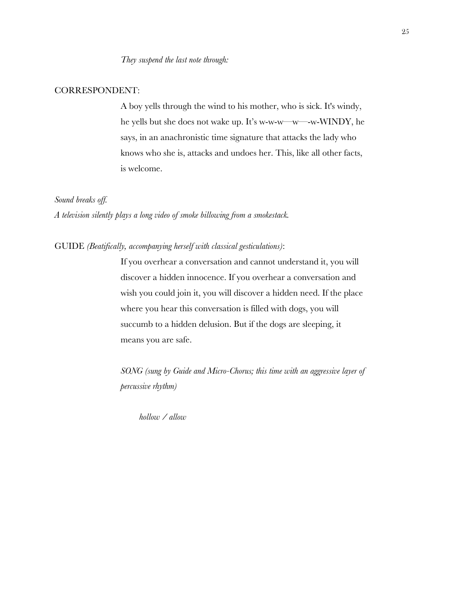#### CORRESPONDENT:

A boy yells through the wind to his mother, who is sick. It's windy, he yells but she does not wake up. It's w-w-w—w—-w-WINDY, he says, in an anachronistic time signature that attacks the lady who knows who she is, attacks and undoes her. This, like all other facts, is welcome.

## *Sound breaks off.*

*A television silently plays a long video of smoke billowing from a smokestack.*

## GUIDE *(Beatifically, accompanying herself with classical gesticulations)*:

If you overhear a conversation and cannot understand it, you will discover a hidden innocence. If you overhear a conversation and wish you could join it, you will discover a hidden need. If the place where you hear this conversation is filled with dogs, you will succumb to a hidden delusion. But if the dogs are sleeping, it means you are safe.

*SONG (sung by Guide and Micro-Chorus; this time with an aggressive layer of percussive rhythm)*

*hollow / allow*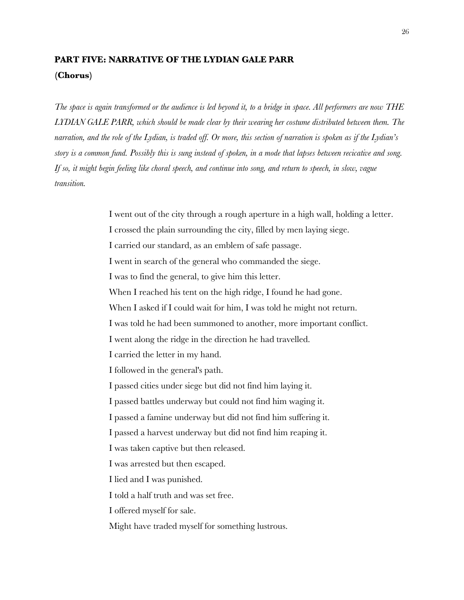# **PART FIVE: NARRATIVE OF THE LYDIAN GALE PARR (Chorus)**

*The space is again transformed or the audience is led beyond it, to a bridge in space. All performers are now THE LYDIAN GALE PARR, which should be made clear by their wearing her costume distributed between them. The narration, and the role of the Lydian, is traded off. Or more, this section of narration is spoken as if the Lydian's story is a common fund. Possibly this is sung instead of spoken, in a mode that lapses between recicative and song. If so, it might begin feeling like choral speech, and continue into song, and return to speech, in slow, vague transition.* 

> I went out of the city through a rough aperture in a high wall, holding a letter. I crossed the plain surrounding the city, filled by men laying siege. I carried our standard, as an emblem of safe passage. I went in search of the general who commanded the siege. I was to find the general, to give him this letter. When I reached his tent on the high ridge, I found he had gone. When I asked if I could wait for him, I was told he might not return. I was told he had been summoned to another, more important conflict. I went along the ridge in the direction he had travelled. I carried the letter in my hand. I followed in the general's path. I passed cities under siege but did not find him laying it. I passed battles underway but could not find him waging it. I passed a famine underway but did not find him suffering it. I passed a harvest underway but did not find him reaping it. I was taken captive but then released. I was arrested but then escaped. I lied and I was punished. I told a half truth and was set free. I offered myself for sale. Might have traded myself for something lustrous.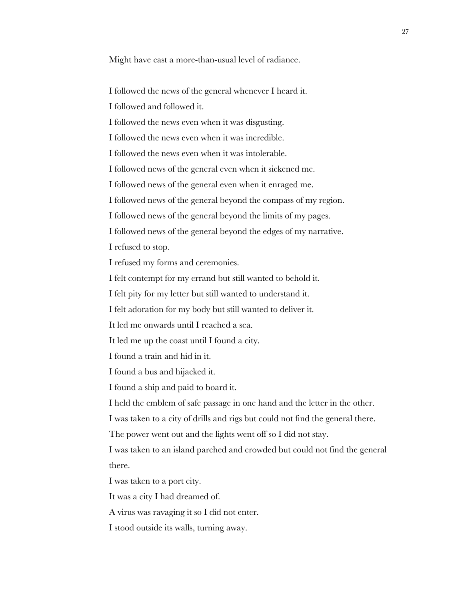Might have cast a more-than-usual level of radiance.

I followed the news of the general whenever I heard it.

I followed and followed it.

I followed the news even when it was disgusting.

I followed the news even when it was incredible.

I followed the news even when it was intolerable.

I followed news of the general even when it sickened me.

I followed news of the general even when it enraged me.

I followed news of the general beyond the compass of my region.

I followed news of the general beyond the limits of my pages.

I followed news of the general beyond the edges of my narrative.

I refused to stop.

I refused my forms and ceremonies.

I felt contempt for my errand but still wanted to behold it.

I felt pity for my letter but still wanted to understand it.

I felt adoration for my body but still wanted to deliver it.

It led me onwards until I reached a sea.

It led me up the coast until I found a city.

I found a train and hid in it.

I found a bus and hijacked it.

I found a ship and paid to board it.

I held the emblem of safe passage in one hand and the letter in the other.

I was taken to a city of drills and rigs but could not find the general there.

The power went out and the lights went off so I did not stay.

I was taken to an island parched and crowded but could not find the general there.

I was taken to a port city.

It was a city I had dreamed of.

A virus was ravaging it so I did not enter.

I stood outside its walls, turning away.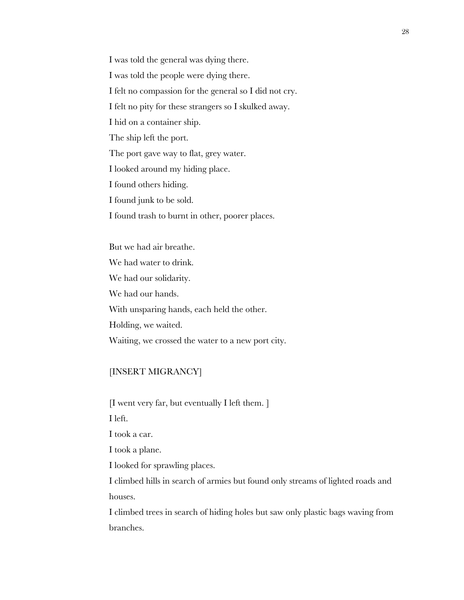I was told the general was dying there.

I was told the people were dying there.

I felt no compassion for the general so I did not cry.

I felt no pity for these strangers so I skulked away.

I hid on a container ship.

The ship left the port.

The port gave way to flat, grey water.

I looked around my hiding place.

I found others hiding.

I found junk to be sold.

I found trash to burnt in other, poorer places.

But we had air breathe. We had water to drink. We had our solidarity. We had our hands. With unsparing hands, each held the other. Holding, we waited. Waiting, we crossed the water to a new port city.

# [INSERT MIGRANCY]

[I went very far, but eventually I left them. ]

I left.

I took a car.

I took a plane.

I looked for sprawling places.

I climbed hills in search of armies but found only streams of lighted roads and houses.

I climbed trees in search of hiding holes but saw only plastic bags waving from branches.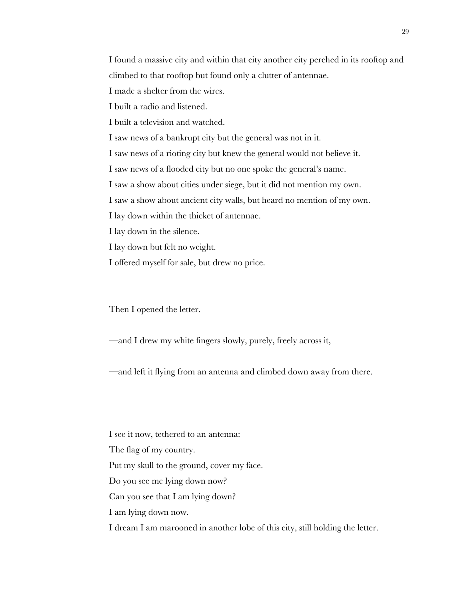I found a massive city and within that city another city perched in its rooftop and climbed to that rooftop but found only a clutter of antennae.

I made a shelter from the wires.

I built a radio and listened.

I built a television and watched.

I saw news of a bankrupt city but the general was not in it.

I saw news of a rioting city but knew the general would not believe it.

I saw news of a flooded city but no one spoke the general's name.

I saw a show about cities under siege, but it did not mention my own.

I saw a show about ancient city walls, but heard no mention of my own.

I lay down within the thicket of antennae.

I lay down in the silence.

I lay down but felt no weight.

I offered myself for sale, but drew no price.

Then I opened the letter.

—and I drew my white fingers slowly, purely, freely across it,

—and left it flying from an antenna and climbed down away from there.

I see it now, tethered to an antenna: The flag of my country. Put my skull to the ground, cover my face. Do you see me lying down now? Can you see that I am lying down? I am lying down now. I dream I am marooned in another lobe of this city, still holding the letter.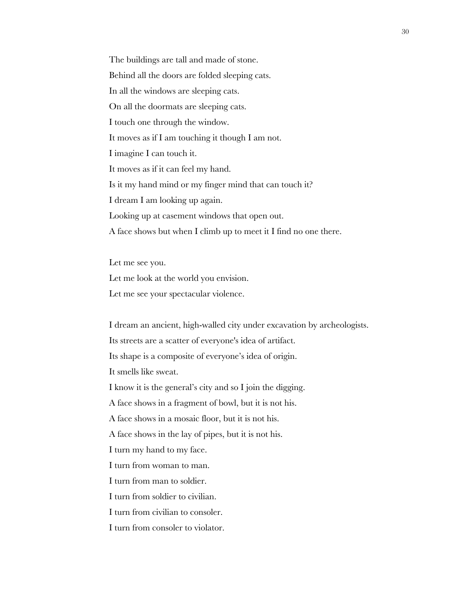The buildings are tall and made of stone. Behind all the doors are folded sleeping cats. In all the windows are sleeping cats. On all the doormats are sleeping cats. I touch one through the window. It moves as if I am touching it though I am not. I imagine I can touch it. It moves as if it can feel my hand. Is it my hand mind or my finger mind that can touch it? I dream I am looking up again. Looking up at casement windows that open out. A face shows but when I climb up to meet it I find no one there.

Let me see you. Let me look at the world you envision. Let me see your spectacular violence.

I dream an ancient, high-walled city under excavation by archeologists. Its streets are a scatter of everyone's idea of artifact. Its shape is a composite of everyone's idea of origin. It smells like sweat. I know it is the general's city and so I join the digging. A face shows in a fragment of bowl, but it is not his. A face shows in a mosaic floor, but it is not his. A face shows in the lay of pipes, but it is not his. I turn my hand to my face. I turn from woman to man. I turn from man to soldier. I turn from soldier to civilian. I turn from civilian to consoler. I turn from consoler to violator.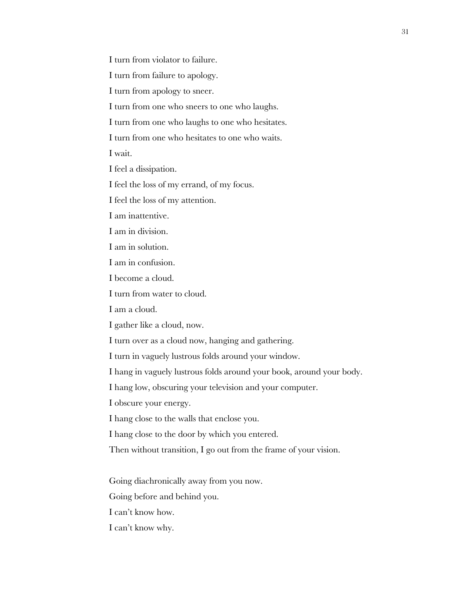I turn from violator to failure.

I turn from failure to apology.

I turn from apology to sneer.

I turn from one who sneers to one who laughs.

I turn from one who laughs to one who hesitates.

I turn from one who hesitates to one who waits.

I wait.

I feel a dissipation.

I feel the loss of my errand, of my focus.

I feel the loss of my attention.

I am inattentive.

I am in division.

I am in solution.

I am in confusion.

I become a cloud.

I turn from water to cloud.

I am a cloud.

I gather like a cloud, now.

I turn over as a cloud now, hanging and gathering.

I turn in vaguely lustrous folds around your window.

I hang in vaguely lustrous folds around your book, around your body.

I hang low, obscuring your television and your computer.

I obscure your energy.

I hang close to the walls that enclose you.

I hang close to the door by which you entered.

Then without transition, I go out from the frame of your vision.

Going diachronically away from you now.

Going before and behind you.

I can't know how.

I can't know why.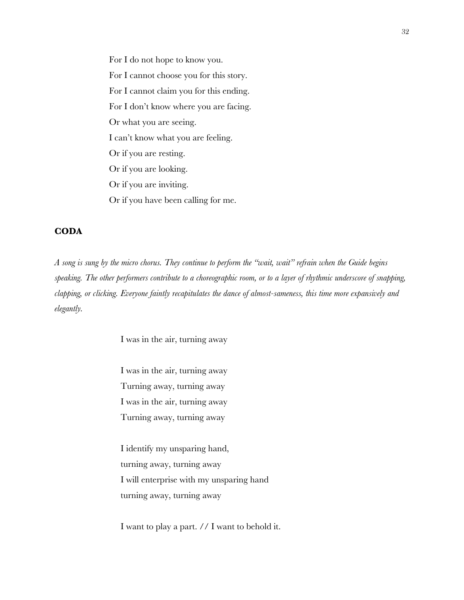For I do not hope to know you. For I cannot choose you for this story. For I cannot claim you for this ending. For I don't know where you are facing. Or what you are seeing. I can't know what you are feeling. Or if you are resting. Or if you are looking. Or if you are inviting. Or if you have been calling for me.

# **CODA**

*A song is sung by the micro chorus. They continue to perform the "wait, wait" refrain when the Guide begins speaking. The other performers contribute to a choreographic room, or to a layer of rhythmic underscore of snapping, clapping, or clicking. Everyone faintly recapitulates the dance of almost-sameness, this time more expansively and elegantly.*

I was in the air, turning away

I was in the air, turning away Turning away, turning away I was in the air, turning away Turning away, turning away

I identify my unsparing hand, turning away, turning away I will enterprise with my unsparing hand turning away, turning away

I want to play a part. // I want to behold it.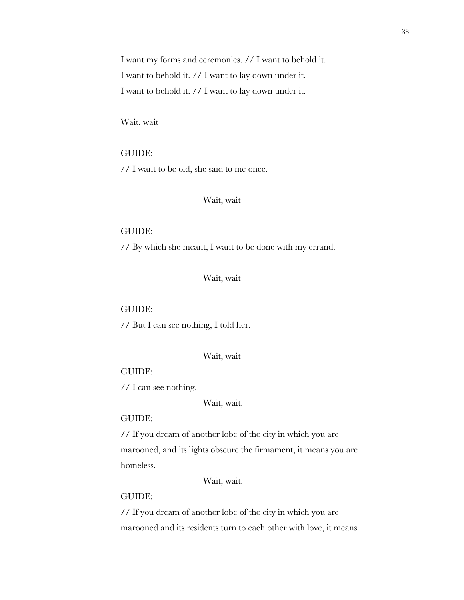I want my forms and ceremonies. // I want to behold it. I want to behold it. // I want to lay down under it. I want to behold it. // I want to lay down under it.

Wait, wait

GUIDE: // I want to be old, she said to me once.

## Wait, wait

#### GUIDE:

// By which she meant, I want to be done with my errand.

Wait, wait

#### GUIDE:

// But I can see nothing, I told her.

#### Wait, wait

## GUIDE:

// I can see nothing.

Wait, wait.

## GUIDE:

// If you dream of another lobe of the city in which you are marooned, and its lights obscure the firmament, it means you are homeless.

Wait, wait.

#### GUIDE:

// If you dream of another lobe of the city in which you are marooned and its residents turn to each other with love, it means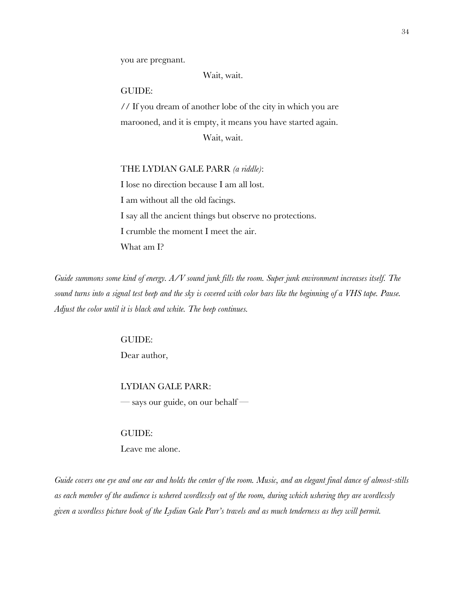you are pregnant.

Wait, wait.

#### GUIDE:

// If you dream of another lobe of the city in which you are marooned, and it is empty, it means you have started again. Wait, wait.

#### THE LYDIAN GALE PARR *(a riddle)*:

I lose no direction because I am all lost. I am without all the old facings. I say all the ancient things but observe no protections. I crumble the moment I meet the air. What am I?

*Guide summons some kind of energy. A/V sound junk fills the room. Super junk environment increases itself. The sound turns into a signal test beep and the sky is covered with color bars like the beginning of a VHS tape. Pause. Adjust the color until it is black and white. The beep continues.* 

## GUIDE:

Dear author,

#### LYDIAN GALE PARR:

 $-$  says our guide, on our behalf  $-$ 

#### GUIDE:

Leave me alone.

*Guide covers one eye and one ear and holds the center of the room. Music, and an elegant final dance of almost-stills as each member of the audience is ushered wordlessly out of the room, during which ushering they are wordlessly given a wordless picture book of the Lydian Gale Parr's travels and as much tenderness as they will permit.*